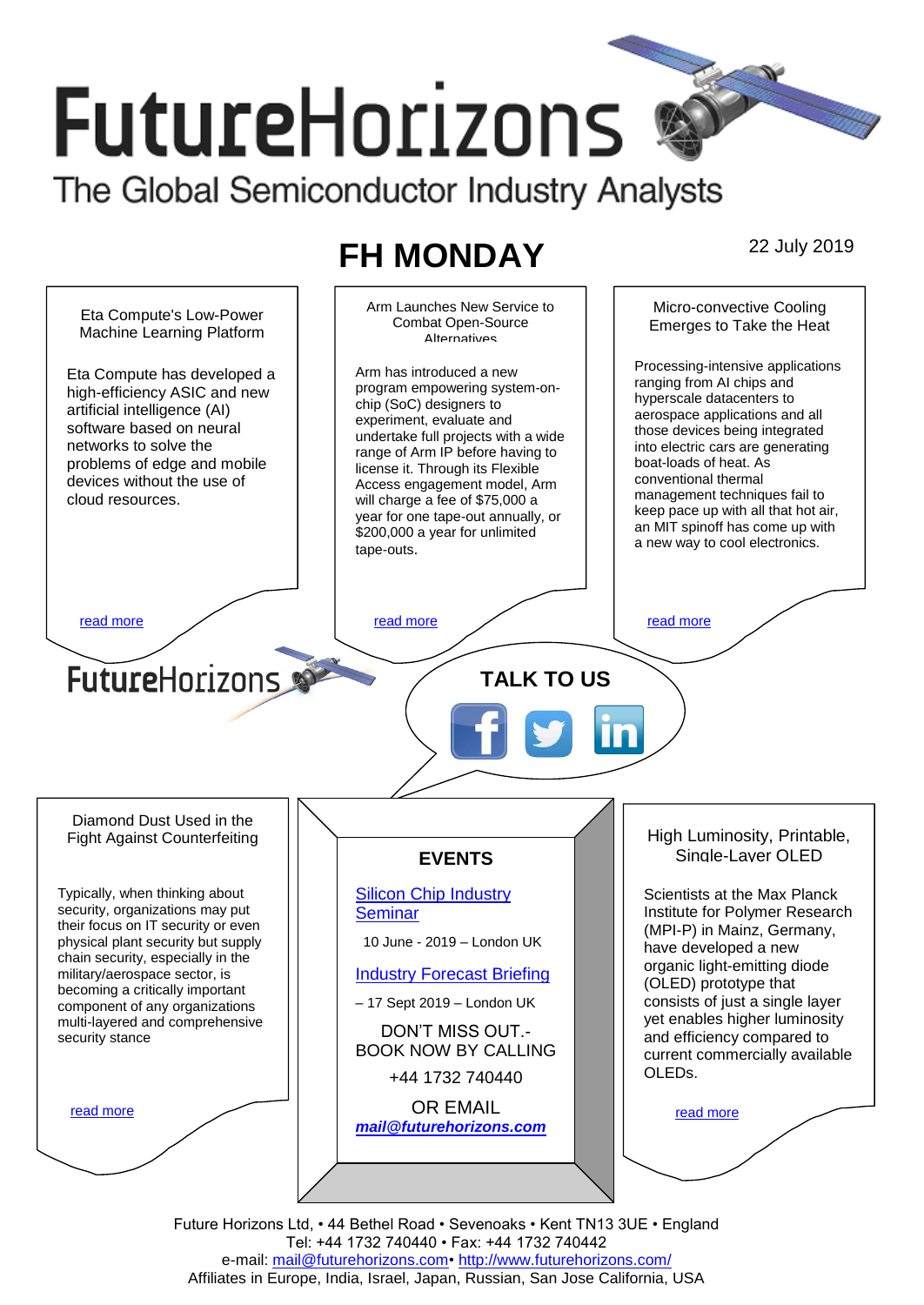# **FutureHorizons** The Global Semiconductor Industry Analysts

# **FH MONDAY** 22 July 2019



Future Horizons Ltd, • 44 Bethel Road • Sevenoaks • Kent TN13 3UE • England Tel: +44 1732 740440 • Fax: +44 1732 740442 e-mail: mail@futurehorizons.com• http://www.futurehorizons.com/ Affiliates in Europe, India, Israel, Japan, Russian, San Jose California, USA